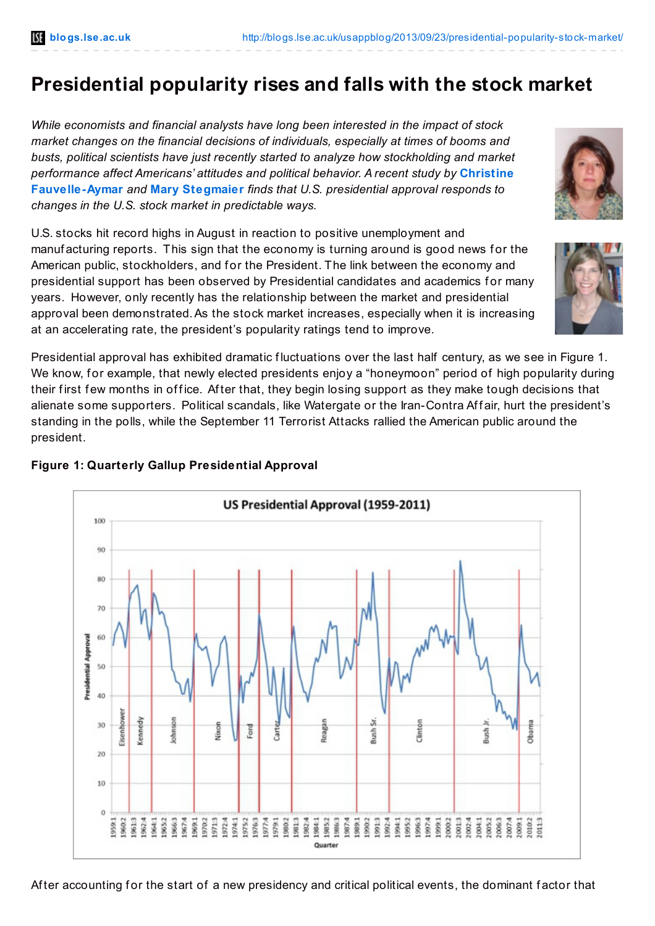# **Presidential popularity rises and falls with the stock market**

*While economists and financial analysts have long been interested in the impact of stock market changes on the financial decisions of individuals, especially at times of booms and busts, political scientists have just recently started to analyze how stockholding and market performance affect Americans' attitudes and political behavior. A recent study by* **Christine [Fauvelle-Aymar](http://wp.me/p3I2YF-gg#Author)** *and* **Mary [Stegmaier](http://wp.me/p3I2YF-gg#Author)** *finds that U.S. presidential approval responds to changes in the U.S. stock market in predictable ways.*

U.S. stocks hit record highs in August in reaction to positive unemployment and manuf acturing reports. This sign that the economy is turning around is good news for the American public, stockholders, and for the President. The link between the economy and presidential support has been observed by Presidential candidates and academics for many years. However, only recently has the relationship between the market and presidential approval been demonstrated.As the stock market increases, especially when it is increasing at an accelerating rate, the president's popularity ratings tend to improve.

Presidential approval has exhibited dramatic fluctuations over the last half century, as we see in Figure 1. We know, for example, that newly elected presidents enjoy a "honeymoon" period of high popularity during their first few months in office. After that, they begin losing support as they make tough decisions that alienate some supporters. Political scandals, like Watergate or the Iran-Contra Af f air, hurt the president's standing in the polls, while the September 11 Terrorist Attacks rallied the American public around the president.

#### US Presidential Approval (1959-2011) 100 90  $80$ 70 Presidential Approval 60 50 40 Eisenhower (ennedy ä ohnson Obama Nixon Reagean Clinton 30 ord<sup></sup> Bush Bush  $20$ 10  $\theta$ 1001:3 1959:1 961:3 962:4 9652 969:1 970:2 972:4 974:1 975:2 976:3 977:4 980:2 981:3 1984:1 1985:2 1986:3 1987:4 989.1 1990:2 991:3 992:4 994:1 995:2 996:3 997:4 :0002 960:2 971:3 1982:4 999:1 :002:4 1:004:1 :007:4 1979:1 005:2 1006:3 1600; 911:3 Quarter

**Figure 1: Quarterly Gallup Presidential Approval**

After accounting for the start of a new presidency and critical political events, the dominant factor that



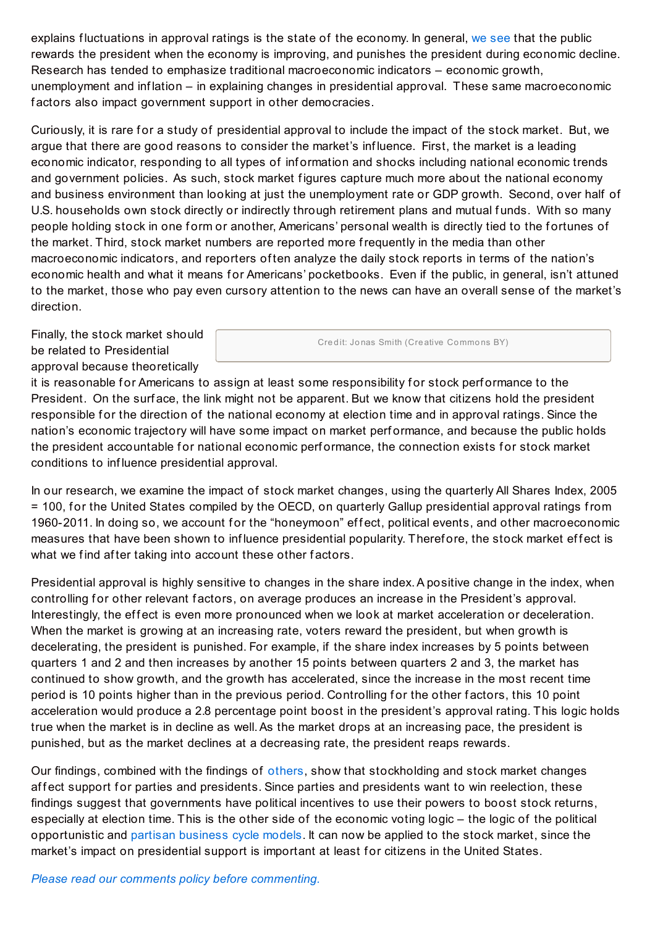explains fluctuations in approval ratings is the state of the economy. In general, we [see](http://link.springer.com/article/10.1007/s11127-013-0086-6) that the public rewards the president when the economy is improving, and punishes the president during economic decline. Research has tended to emphasize traditional macroeconomic indicators – economic growth, unemployment and inf lation – in explaining changes in presidential approval. These same macroeconomic factors also impact government support in other democracies.

Curiously, it is rare for a study of presidential approval to include the impact of the stock market. But, we argue that there are good reasons to consider the market's inf luence. First, the market is a leading economic indicator, responding to all types of inf ormation and shocks including national economic trends and government policies. As such, stock market f igures capture much more about the national economy and business environment than looking at just the unemployment rate or GDP growth. Second, over half of U.S. households own stock directly or indirectly through retirement plans and mutual funds. With so many people holding stock in one form or another, Americans' personal wealth is directly tied to the fortunes of the market. Third, stock market numbers are reported more frequently in the media than other macroeconomic indicators, and reporters of ten analyze the daily stock reports in terms of the nation's economic health and what it means for Americans' pocketbooks. Even if the public, in general, isn't attuned to the market, those who pay even cursory attention to the news can have an overall sense of the market's direction.

Finally, the stock market should be related to Presidential approval because theoretically

Credit: Jonas Smith (Creative Commons BY)

it is reasonable for Americans to assign at least some responsibility for stock performance to the President. On the surf ace, the link might not be apparent. But we know that citizens hold the president responsible for the direction of the national economy at election time and in approval ratings. Since the nation's economic trajectory will have some impact on market perf ormance, and because the public holds the president accountable for national economic performance, the connection exists for stock market conditions to inf luence presidential approval.

In our research, we examine the impact of stock market changes, using the quarterly All Shares Index, 2005 = 100, for the United States compiled by the OECD, on quarterly Gallup presidential approval ratings from 1960-2011. In doing so, we account for the "honeymoon" effect, political events, and other macroeconomic measures that have been shown to influence presidential popularity. Therefore, the stock market effect is what we find after taking into account these other factors.

Presidential approval is highly sensitive to changes in the share index. A positive change in the index, when controlling for other relevant factors, on average produces an increase in the President's approval. Interestingly, the effect is even more pronounced when we look at market acceleration or deceleration. When the market is growing at an increasing rate, voters reward the president, but when growth is decelerating, the president is punished. For example, if the share index increases by 5 points between quarters 1 and 2 and then increases by another 15 points between quarters 2 and 3, the market has continued to show growth, and the growth has accelerated, since the increase in the most recent time period is 10 points higher than in the previous period. Controlling for the other factors, this 10 point acceleration would produce a 2.8 percentage point boost in the president's approval rating. This logic holds true when the market is in decline as well.As the market drops at an increasing pace, the president is punished, but as the market declines at a decreasing rate, the president reaps rewards.

Our findings, combined with the findings of [others](http://martial-foucault.com/wp-content/uploads/2010/10/WEP_Patrimonial.pdf), show that stockholding and stock market changes affect support for parties and presidents. Since parties and presidents want to win reelection, these findings suggest that governments have political incentives to use their powers to boost stock returns, especially at election time. This is the other side of the economic voting logic – the logic of the political opportunistic and partisan [business](http://books.google.co.uk/books/about/Political_Cycles_and_the_Macroeconomy.html?id=NAClEiUYzMwC&redir_esc=y) cycle models. It can now be applied to the stock market, since the market's impact on presidential support is important at least for citizens in the United States.

*Please read our comments policy before [commenting.](http://blogs.lse.ac.uk/usappblog/comments-policy/)*